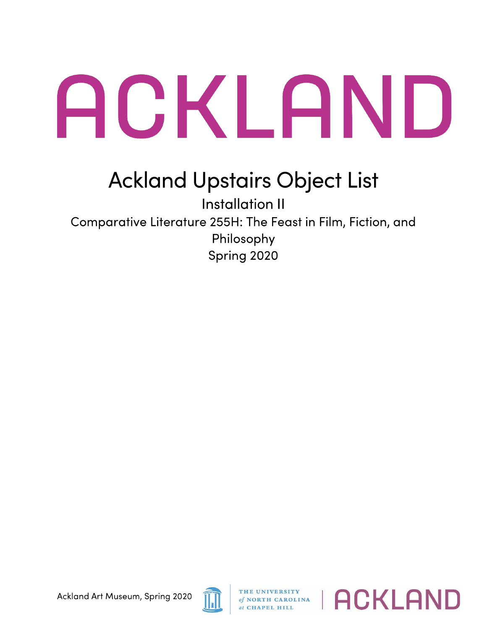## ACKLAND

## Ackland Upstairs Object List

Installation II Comparative Literature 255H: The Feast in Film, Fiction, and Philosophy Spring 2020



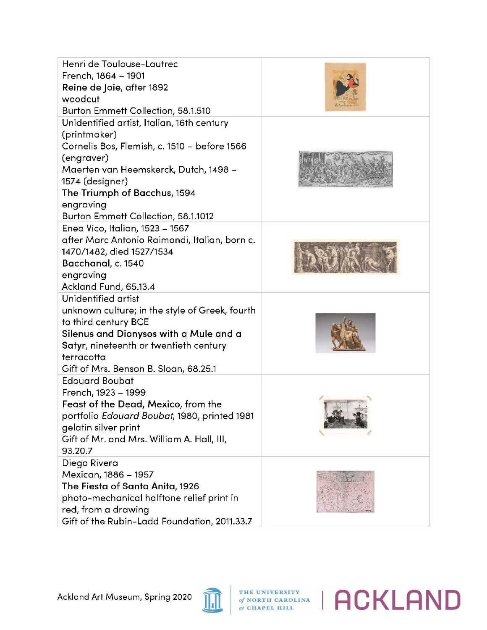| Henri de Toulouse-Lautrec<br>French, 1864 - 1901<br>Reine de Joie, after 1892<br>woodcut<br>Burton Emmett Collection, 58.1.510                                                                                                                                           |  |
|--------------------------------------------------------------------------------------------------------------------------------------------------------------------------------------------------------------------------------------------------------------------------|--|
| Unidentified artist, Italian, 16th century<br>(printmaker)<br>Cornelis Bos, Flemish, c. 1510 - before 1566<br>(engraver)<br>Maerten van Heemskerck, Dutch, 1498 -<br>1574 (designer)<br>The Triumph of Bacchus, 1594<br>engraving<br>Burton Emmett Collection, 58.1.1012 |  |
| Enea Vico, Italian, 1523 - 1567<br>after Marc Antonio Raimondi, Italian, born c.<br>1470/1482, died 1527/1534<br>Bacchanal, c. 1540<br>engraving<br>Ackland Fund, 65.13.4                                                                                                |  |
| Unidentified artist<br>unknown culture; in the style of Greek, fourth<br>to third century BCE<br>Silenus and Dionysos with a Mule and a<br>Satyr, nineteenth or twentieth century<br>terracotta<br>Gift of Mrs. Benson B. Sloan, 68.25.1                                 |  |
| <b>Edouard Boubat</b><br>French, 1923 - 1999<br>Feast of the Dead, Mexico, from the<br>portfolio Edouard Boubat, 1980, printed 1981<br>gelatin silver print<br>Gift of Mr. and Mrs. William A. Hall, III,<br>93.20.7                                                     |  |
| Diego Rivera<br>Mexican, 1886 - 1957<br>The Fiesta of Santa Anita, 1926<br>photo-mechanical halftone relief print in<br>red, from a drawing<br>Gift of the Rubin-Ladd Foundation, 2011.33.7                                                                              |  |